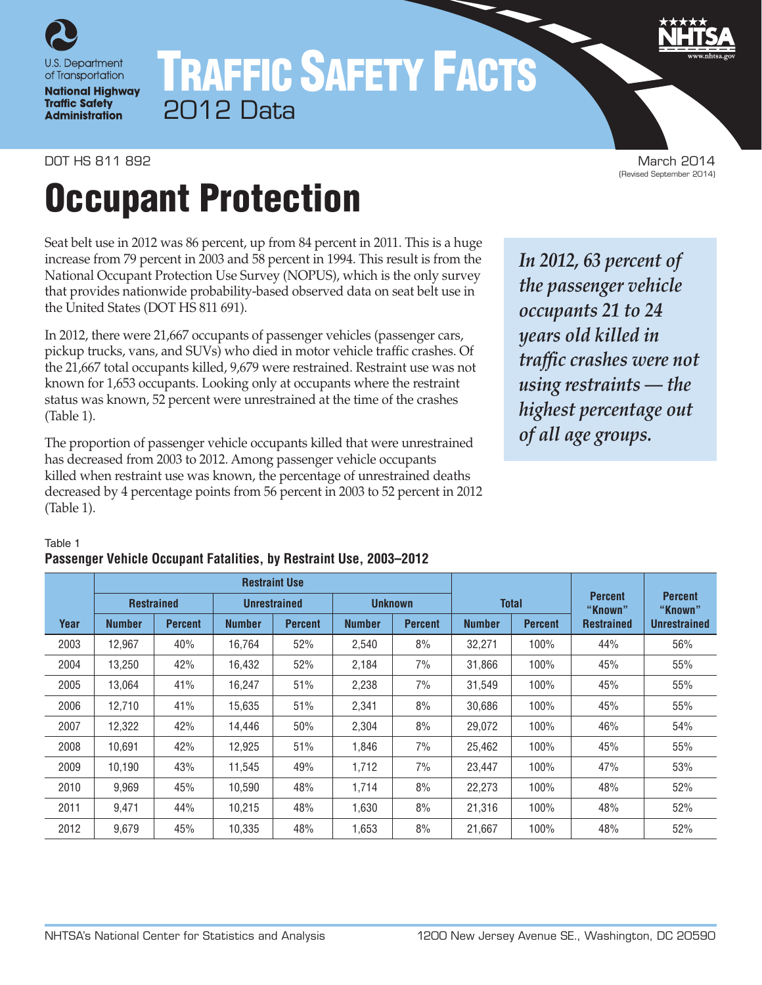

# TRAFFIC SAFETY FACTS 2012 Data

DOT HS 811 892 March 2014<br>۱۹۵۱ - Gevised September 2014) March 2014<br>۱۹۵۱ - Gevised September 2014)

# Occupant Protection

Seat belt use in 2012 was 86 percent, up from 84 percent in 2011. This is a huge increase from 79 percent in 2003 and 58 percent in 1994. This result is from the National Occupant Protection Use Survey (NOPUS), which is the only survey that provides nationwide probability-based observed data on seat belt use in the United States (DOT HS 811 691).

In 2012, there were 21,667 occupants of passenger vehicles (passenger cars, pickup trucks, vans, and SUVs) who died in motor vehicle traffic crashes. Of the 21,667 total occupants killed, 9,679 were restrained. Restraint use was not known for 1,653 occupants. Looking only at occupants where the restraint status was known, 52 percent were unrestrained at the time of the crashes (Table 1).

The proportion of passenger vehicle occupants killed that were unrestrained has decreased from 2003 to 2012. Among passenger vehicle occupants killed when restraint use was known, the percentage of unrestrained deaths decreased by 4 percentage points from 56 percent in 2003 to 52 percent in 2012 (Table 1).

*In 2012, 63 percent of the passenger vehicle occupants 21 to 24 years old killed in traffic crashes were not using restraints — the highest percentage out of all age groups.*

#### Table 1

## **Passenger Vehicle Occupant Fatalities, by Restraint Use, 2003–2012**

|      |               |                   |               | <b>Restraint Use</b> |               |                |               |                |                           |                           |
|------|---------------|-------------------|---------------|----------------------|---------------|----------------|---------------|----------------|---------------------------|---------------------------|
|      |               | <b>Restrained</b> |               | <b>Unrestrained</b>  |               | <b>Unknown</b> | <b>Total</b>  |                | <b>Percent</b><br>"Known" | <b>Percent</b><br>"Known" |
| Year | <b>Number</b> | <b>Percent</b>    | <b>Number</b> | <b>Percent</b>       | <b>Number</b> | <b>Percent</b> | <b>Number</b> | <b>Percent</b> | <b>Restrained</b>         | <b>Unrestrained</b>       |
| 2003 | 12,967        | 40%               | 16,764        | 52%                  | 2,540         | 8%             | 32,271        | 100%           | 44%                       | 56%                       |
| 2004 | 13,250        | 42%               | 16,432        | 52%                  | 2,184         | 7%             | 31,866        | 100%           | 45%                       | 55%                       |
| 2005 | 13.064        | 41%               | 16.247        | 51%                  | 2,238         | 7%             | 31.549        | 100%           | 45%                       | 55%                       |
| 2006 | 12,710        | 41%               | 15,635        | 51%                  | 2,341         | 8%             | 30,686        | 100%           | 45%                       | 55%                       |
| 2007 | 12,322        | 42%               | 14,446        | 50%                  | 2,304         | 8%             | 29,072        | 100%           | 46%                       | 54%                       |
| 2008 | 10.691        | 42%               | 12,925        | 51%                  | 1.846         | 7%             | 25,462        | 100%           | 45%                       | 55%                       |
| 2009 | 10.190        | 43%               | 11,545        | 49%                  | 1,712         | 7%             | 23,447        | 100%           | 47%                       | 53%                       |
| 2010 | 9,969         | 45%               | 10,590        | 48%                  | 1,714         | 8%             | 22,273        | 100%           | 48%                       | 52%                       |
| 2011 | 9,471         | 44%               | 10,215        | 48%                  | 1,630         | 8%             | 21,316        | 100%           | 48%                       | 52%                       |
| 2012 | 9,679         | 45%               | 10,335        | 48%                  | 1,653         | 8%             | 21,667        | 100%           | 48%                       | 52%                       |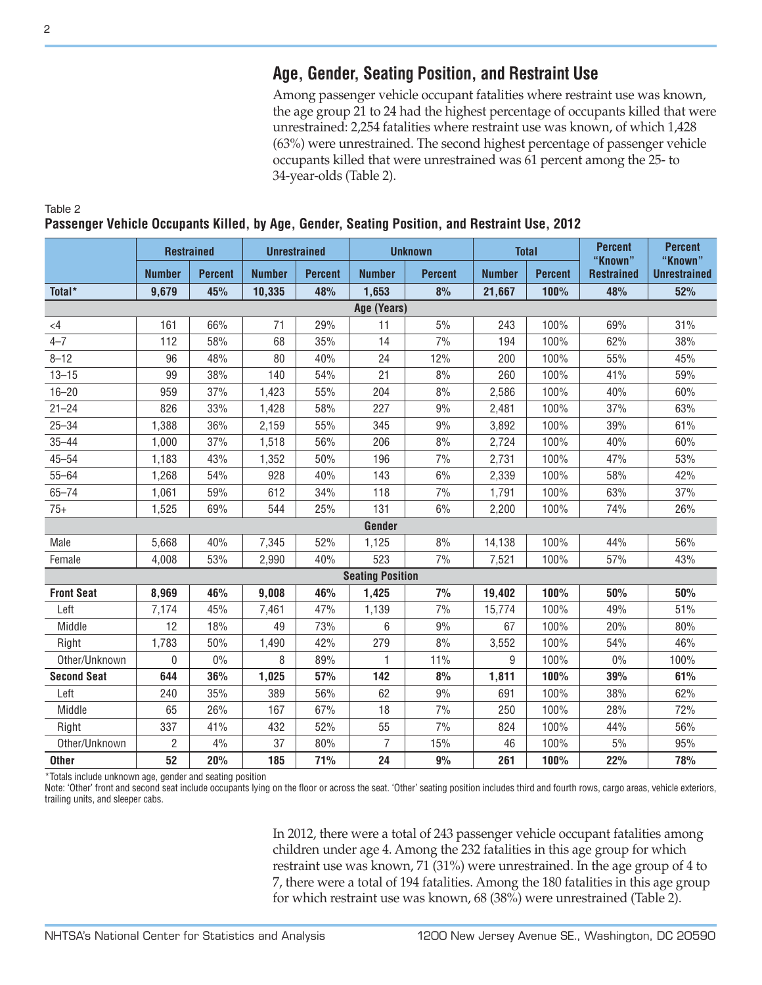# **Age, Gender, Seating Position, and Restraint Use**

Among passenger vehicle occupant fatalities where restraint use was known, the age group 21 to 24 had the highest percentage of occupants killed that were unrestrained: 2,254 fatalities where restraint use was known, of which 1,428 (63%) were unrestrained. The second highest percentage of passenger vehicle occupants killed that were unrestrained was 61 percent among the 25- to 34-year-olds (Table 2).

|                    | <b>Restrained</b> |                | <b>Unrestrained</b> |                |                         | <b>Unknown</b> |               | <b>Total</b>   | <b>Percent</b>               | <b>Percent</b>                 |
|--------------------|-------------------|----------------|---------------------|----------------|-------------------------|----------------|---------------|----------------|------------------------------|--------------------------------|
|                    | <b>Number</b>     | <b>Percent</b> | <b>Number</b>       | <b>Percent</b> | <b>Number</b>           | <b>Percent</b> | <b>Number</b> | <b>Percent</b> | "Known"<br><b>Restrained</b> | "Known"<br><b>Unrestrained</b> |
| Total*             | 9,679             | 45%            | 10,335              | 48%            | 1,653                   | 8%             | 21,667        | 100%           | 48%                          | 52%                            |
|                    |                   |                |                     |                | Age (Years)             |                |               |                |                              |                                |
| $\leq$ 4           | 161               | 66%            | 71                  | 29%            | 11                      | 5%             | 243           | 100%           | 69%                          | 31%                            |
| $4 - 7$            | 112               | 58%            | 68                  | 35%            | 14                      | 7%             | 194           | 100%           | 62%                          | 38%                            |
| $8 - 12$           | 96                | 48%            | 80                  | 40%            | 24                      | 12%            | 200           | 100%           | 55%                          | 45%                            |
| $13 - 15$          | 99                | 38%            | 140                 | 54%            | 21                      | 8%             | 260           | 100%           | 41%                          | 59%                            |
| $16 - 20$          | 959               | 37%            | 1,423               | 55%            | 204                     | 8%             | 2,586         | 100%           | 40%                          | 60%                            |
| $21 - 24$          | 826               | 33%            | 1,428               | 58%            | 227                     | 9%             | 2,481         | 100%           | 37%                          | 63%                            |
| $25 - 34$          | 1,388             | 36%            | 2,159               | 55%            | 345                     | 9%             | 3,892         | 100%           | 39%                          | 61%                            |
| $35 - 44$          | 1,000             | 37%            | 1,518               | 56%            | 206                     | 8%             | 2,724         | 100%           | 40%                          | 60%                            |
| $45 - 54$          | 1,183             | 43%            | 1,352               | 50%            | 196                     | 7%             | 2,731         | 100%           | 47%                          | 53%                            |
| $55 - 64$          | 1,268             | 54%            | 928                 | 40%            | 143                     | 6%             | 2,339         | 100%           | 58%                          | 42%                            |
| $65 - 74$          | 1,061             | 59%            | 612                 | 34%            | 118                     | 7%             | 1,791         | 100%           | 63%                          | 37%                            |
| $75+$              | 1,525             | 69%            | 544                 | 25%            | 131                     | 6%             | 2,200         | 100%           | 74%                          | 26%                            |
|                    |                   |                |                     |                | Gender                  |                |               |                |                              |                                |
| Male               | 5,668             | 40%            | 7,345               | 52%            | 1,125                   | 8%             | 14,138        | 100%           | 44%                          | 56%                            |
| Female             | 4,008             | 53%            | 2,990               | 40%            | 523                     | 7%             | 7,521         | 100%           | 57%                          | 43%                            |
|                    |                   |                |                     |                | <b>Seating Position</b> |                |               |                |                              |                                |
| <b>Front Seat</b>  | 8,969             | 46%            | 9,008               | 46%            | 1,425                   | 7%             | 19,402        | 100%           | 50%                          | 50%                            |
| Left               | 7,174             | 45%            | 7,461               | 47%            | 1,139                   | 7%             | 15,774        | 100%           | 49%                          | 51%                            |
| Middle             | 12                | 18%            | 49                  | 73%            | 6                       | 9%             | 67            | 100%           | 20%                          | 80%                            |
| Right              | 1,783             | 50%            | 1,490               | 42%            | 279                     | 8%             | 3,552         | 100%           | 54%                          | 46%                            |
| Other/Unknown      | 0                 | $0\%$          | 8                   | 89%            | 1                       | 11%            | 9             | 100%           | 0%                           | 100%                           |
| <b>Second Seat</b> | 644               | 36%            | 1,025               | 57%            | 142                     | 8%             | 1,811         | 100%           | 39%                          | 61%                            |
| Left               | 240               | 35%            | 389                 | 56%            | 62                      | 9%             | 691           | 100%           | 38%                          | 62%                            |
| Middle             | 65                | 26%            | 167                 | 67%            | 18                      | 7%             | 250           | 100%           | 28%                          | 72%                            |
| Right              | 337               | 41%            | 432                 | 52%            | 55                      | 7%             | 824           | 100%           | 44%                          | 56%                            |
| Other/Unknown      | $\overline{2}$    | 4%             | 37                  | 80%            | $\overline{7}$          | 15%            | 46            | 100%           | 5%                           | 95%                            |
| <b>Other</b>       | 52                | 20%            | 185                 | 71%            | 24                      | 9%             | 261           | 100%           | 22%                          | 78%                            |

**Passenger Vehicle Occupants Killed, by Age, Gender, Seating Position, and Restraint Use, 2012**

\*Totals include unknown age, gender and seating position

Note: 'Other' front and second seat include occupants lying on the floor or across the seat. 'Other' seating position includes third and fourth rows, cargo areas, vehicle exteriors, trailing units, and sleeper cabs.

> In 2012, there were a total of 243 passenger vehicle occupant fatalities among children under age 4. Among the 232 fatalities in this age group for which restraint use was known, 71 (31%) were unrestrained. In the age group of 4 to 7, there were a total of 194 fatalities. Among the 180 fatalities in this age group for which restraint use was known, 68 (38%) were unrestrained (Table 2).

Table 2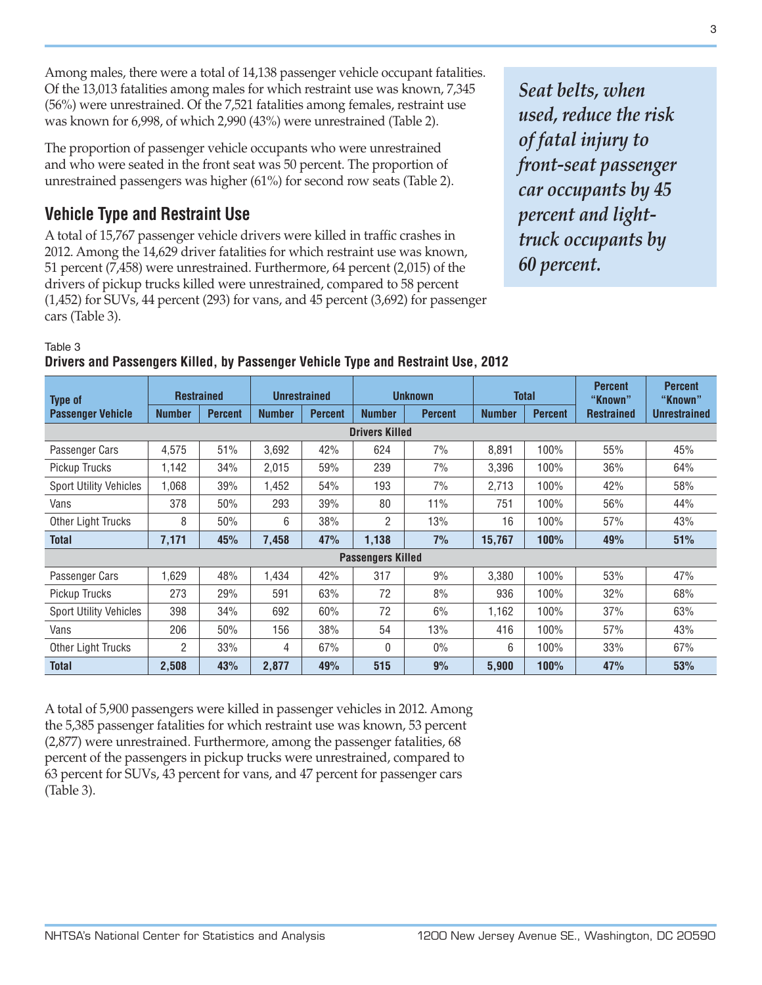Among males, there were a total of 14,138 passenger vehicle occupant fatalities. Of the 13,013 fatalities among males for which restraint use was known, 7,345 (56%) were unrestrained. Of the 7,521 fatalities among females, restraint use was known for 6,998, of which 2,990 (43%) were unrestrained (Table 2).

The proportion of passenger vehicle occupants who were unrestrained and who were seated in the front seat was 50 percent. The proportion of unrestrained passengers was higher (61%) for second row seats (Table 2).

# **Vehicle Type and Restraint Use**

A total of 15,767 passenger vehicle drivers were killed in traffic crashes in 2012. Among the 14,629 driver fatalities for which restraint use was known, 51 percent (7,458) were unrestrained. Furthermore, 64 percent (2,015) of the drivers of pickup trucks killed were unrestrained, compared to 58 percent (1,452) for SUVs, 44 percent (293) for vans, and 45 percent (3,692) for passenger cars (Table 3).

*Seat belts, when used, reduce the risk of fatal injury to front-seat passenger car occupants by 45 percent and lighttruck occupants by 60 percent.*

#### Table 3

### **Drivers and Passengers Killed, by Passenger Vehicle Type and Restraint Use, 2012**

| <b>Type of</b>                | <b>Restrained</b> |                | <b>Unrestrained</b> |                | <b>Unknown</b>           |                | <b>Total</b>  |                | <b>Percent</b><br>"Known" | <b>Percent</b><br>"Known" |  |
|-------------------------------|-------------------|----------------|---------------------|----------------|--------------------------|----------------|---------------|----------------|---------------------------|---------------------------|--|
| <b>Passenger Vehicle</b>      | <b>Number</b>     | <b>Percent</b> | <b>Number</b>       | <b>Percent</b> | <b>Number</b>            | <b>Percent</b> | <b>Number</b> | <b>Percent</b> | <b>Restrained</b>         | <b>Unrestrained</b>       |  |
| <b>Drivers Killed</b>         |                   |                |                     |                |                          |                |               |                |                           |                           |  |
| Passenger Cars                | 4,575             | 51%            | 3,692               | 42%            | 624                      | 7%             | 8,891         | 100%           | 55%                       | 45%                       |  |
| Pickup Trucks                 | 1,142             | 34%            | 2,015               | 59%            | 239                      | 7%             | 3,396         | 100%           | 36%                       | 64%                       |  |
| <b>Sport Utility Vehicles</b> | 1,068             | 39%            | 1.452               | 54%            | 193                      | 7%             | 2,713         | 100%           | 42%                       | 58%                       |  |
| Vans                          | 378               | 50%            | 293                 | 39%            | 80                       | 11%            | 751           | 100%           | 56%                       | 44%                       |  |
| <b>Other Light Trucks</b>     | 8                 | 50%            | 6                   | 38%            | 2                        | 13%            | 16            | 100%           | 57%                       | 43%                       |  |
| <b>Total</b>                  | 7,171             | 45%            | 7,458               | 47%            | 1,138                    | 7%             | 15,767        | 100%           | 49%                       | 51%                       |  |
|                               |                   |                |                     |                | <b>Passengers Killed</b> |                |               |                |                           |                           |  |
| Passenger Cars                | 1,629             | 48%            | 1.434               | 42%            | 317                      | 9%             | 3,380         | 100%           | 53%                       | 47%                       |  |
| Pickup Trucks                 | 273               | 29%            | 591                 | 63%            | 72                       | 8%             | 936           | 100%           | 32%                       | 68%                       |  |
| <b>Sport Utility Vehicles</b> | 398               | 34%            | 692                 | 60%            | 72                       | 6%             | 1,162         | 100%           | 37%                       | 63%                       |  |
| Vans                          | 206               | 50%            | 156                 | 38%            | 54                       | 13%            | 416           | 100%           | 57%                       | 43%                       |  |
| Other Light Trucks            | $\overline{2}$    | 33%            | 4                   | 67%            | 0                        | $0\%$          | 6             | 100%           | 33%                       | 67%                       |  |
| <b>Total</b>                  | 2,508             | 43%            | 2,877               | 49%            | 515                      | 9%             | 5,900         | 100%           | 47%                       | 53%                       |  |

A total of 5,900 passengers were killed in passenger vehicles in 2012. Among the 5,385 passenger fatalities for which restraint use was known, 53 percent (2,877) were unrestrained. Furthermore, among the passenger fatalities, 68 percent of the passengers in pickup trucks were unrestrained, compared to 63 percent for SUVs, 43 percent for vans, and 47 percent for passenger cars (Table 3).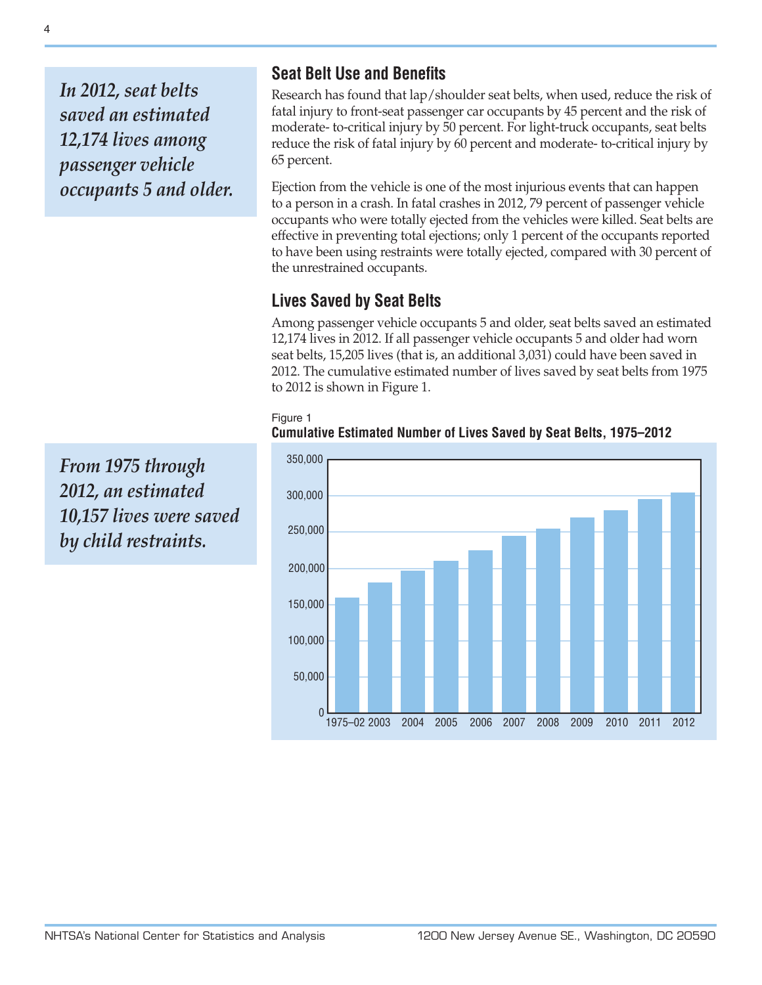*In 2012, seat belts saved an estimated 12,174 lives among passenger vehicle occupants 5 and older.*

*From 1975 through 2012, an estimated 10,157 lives were saved by child restraints.*

# **Seat Belt Use and Benefits**

Research has found that lap/shoulder seat belts, when used, reduce the risk of fatal injury to front-seat passenger car occupants by 45 percent and the risk of moderate- to-critical injury by 50 percent. For light-truck occupants, seat belts reduce the risk of fatal injury by 60 percent and moderate- to-critical injury by 65 percent.

Ejection from the vehicle is one of the most injurious events that can happen to a person in a crash. In fatal crashes in 2012, 79 percent of passenger vehicle occupants who were totally ejected from the vehicles were killed. Seat belts are effective in preventing total ejections; only 1 percent of the occupants reported to have been using restraints were totally ejected, compared with 30 percent of the unrestrained occupants.

# **Lives Saved by Seat Belts**

Among passenger vehicle occupants 5 and older, seat belts saved an estimated 12,174 lives in 2012. If all passenger vehicle occupants 5 and older had worn seat belts, 15,205 lives (that is, an additional 3,031) could have been saved in 2012. The cumulative estimated number of lives saved by seat belts from 1975 to 2012 is shown in Figure 1.



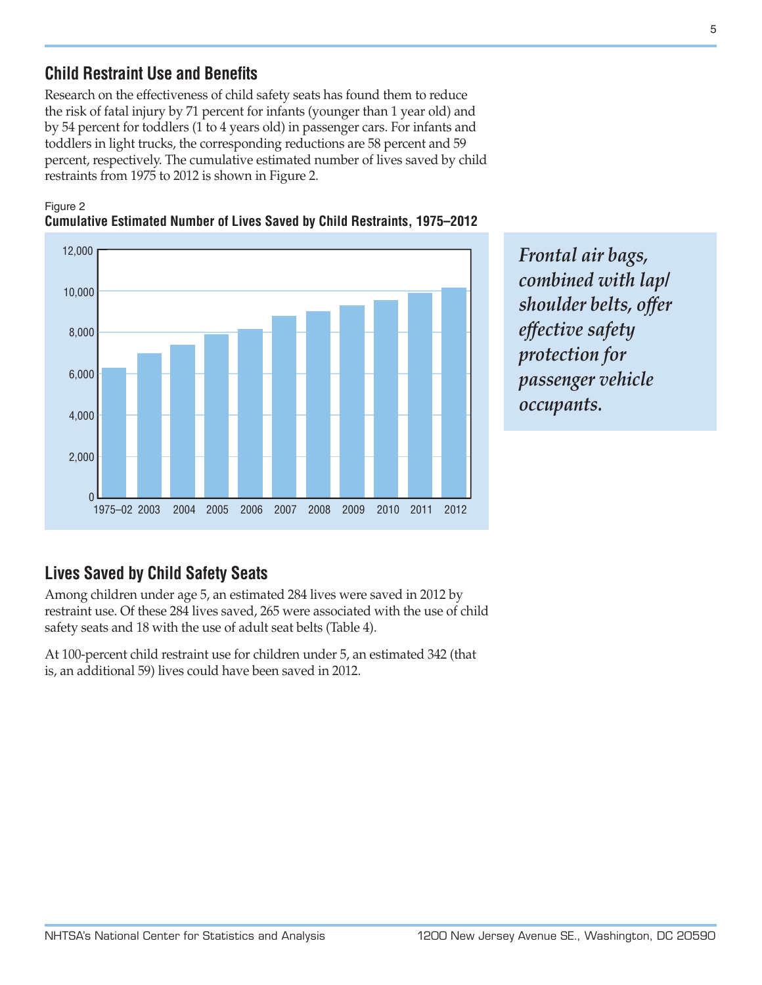# **Child Restraint Use and Benefits**

Research on the effectiveness of child safety seats has found them to reduce the risk of fatal injury by 71 percent for infants (younger than 1 year old) and by 54 percent for toddlers (1 to 4 years old) in passenger cars. For infants and toddlers in light trucks, the corresponding reductions are 58 percent and 59 percent, respectively. The cumulative estimated number of lives saved by child restraints from 1975 to 2012 is shown in Figure 2.

#### Figure 2



## **Cumulative Estimated Number of Lives Saved by Child Restraints, 1975–2012**

*Frontal air bags, combined with lap/ shoulder belts, offer effective safety protection for passenger vehicle occupants.*

# **Lives Saved by Child Safety Seats**

Among children under age 5, an estimated 284 lives were saved in 2012 by restraint use. Of these 284 lives saved, 265 were associated with the use of child safety seats and 18 with the use of adult seat belts (Table 4).

At 100-percent child restraint use for children under 5, an estimated 342 (that is, an additional 59) lives could have been saved in 2012.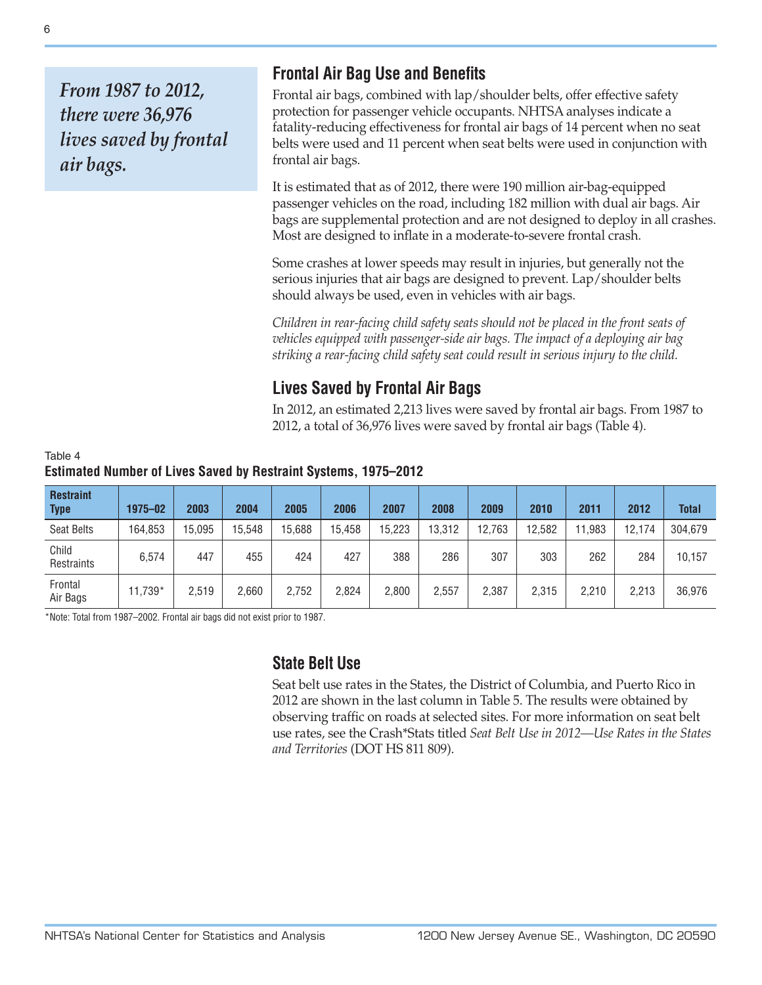*From 1987 to 2012, there were 36,976 lives saved by frontal air bags.*

# **Frontal Air Bag Use and Benefits**

Frontal air bags, combined with lap/shoulder belts, offer effective safety protection for passenger vehicle occupants. NHTSA analyses indicate a fatality-reducing effectiveness for frontal air bags of 14 percent when no seat belts were used and 11 percent when seat belts were used in conjunction with frontal air bags.

It is estimated that as of 2012, there were 190 million air-bag-equipped passenger vehicles on the road, including 182 million with dual air bags. Air bags are supplemental protection and are not designed to deploy in all crashes. Most are designed to inflate in a moderate-to-severe frontal crash.

Some crashes at lower speeds may result in injuries, but generally not the serious injuries that air bags are designed to prevent. Lap/shoulder belts should always be used, even in vehicles with air bags.

*Children in rear-facing child safety seats should not be placed in the front seats of vehicles equipped with passenger-side air bags. The impact of a deploying air bag striking a rear-facing child safety seat could result in serious injury to the child.*

# **Lives Saved by Frontal Air Bags**

In 2012, an estimated 2,213 lives were saved by frontal air bags. From 1987 to 2012, a total of 36,976 lives were saved by frontal air bags (Table 4).

| Table 4 |                                                                 |  |
|---------|-----------------------------------------------------------------|--|
|         | Estimated Number of Lives Saved by Restraint Systems, 1975–2012 |  |

| <b>Restraint</b><br><b>Type</b> | 1975-02 | 2003   | 2004   | 2005   | 2006   | 2007   | 2008   | 2009   | 2010   | 2011  | 2012   | <b>Total</b> |
|---------------------------------|---------|--------|--------|--------|--------|--------|--------|--------|--------|-------|--------|--------------|
| <b>Seat Belts</b>               | 164,853 | 15,095 | 15.548 | 15,688 | 15,458 | 15.223 | 13,312 | 12,763 | 12,582 | ,983  | 12,174 | 304,679      |
| Child<br>Restraints             | 6,574   | 447    | 455    | 424    | 427    | 388    | 286    | 307    | 303    | 262   | 284    | 10,157       |
| Frontal<br>Air Bags             | 11.739* | 2.519  | 2,660  | 2.752  | 2,824  | 2,800  | 2,557  | 2,387  | 2,315  | 2,210 | 2,213  | 36,976       |

\*Note: Total from 1987–2002. Frontal air bags did not exist prior to 1987.

# **State Belt Use**

Seat belt use rates in the States, the District of Columbia, and Puerto Rico in 2012 are shown in the last column in Table 5. The results were obtained by observing traffic on roads at selected sites. For more information on seat belt use rates, see the Crash\*Stats titled *Seat Belt Use in 2012—Use Rates in the States and Territories* (DOT HS 811 809).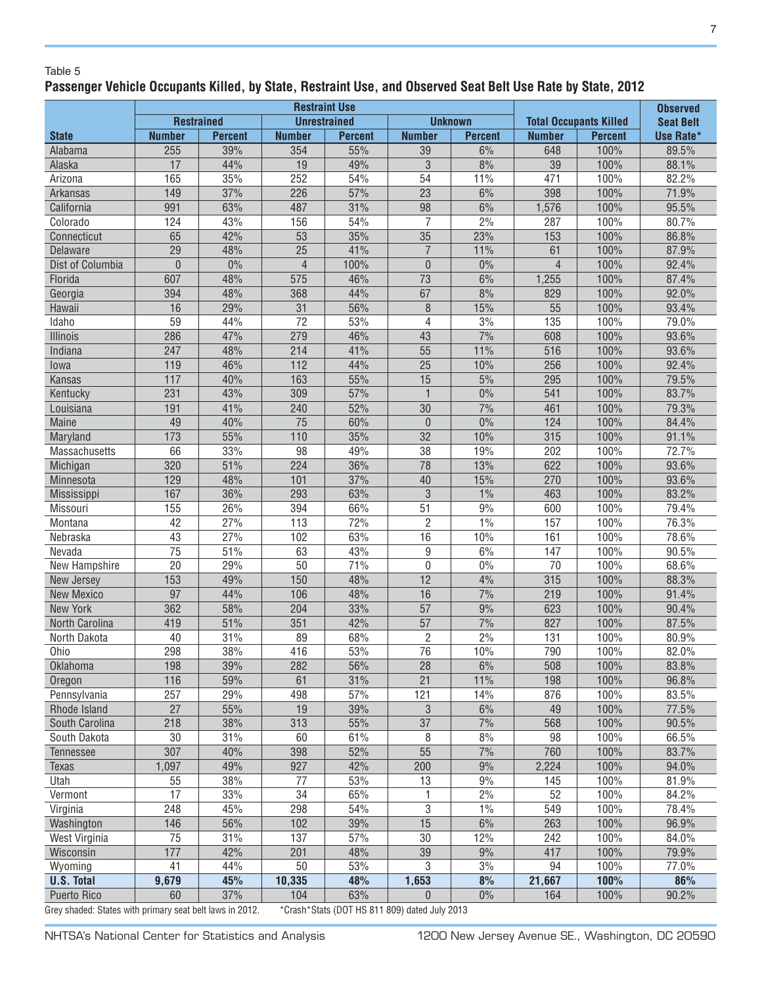#### Table 5

# **Passenger Vehicle Occupants Killed, by State, Restraint Use, and Observed Seat Belt Use Rate by State, 2012**

|                                                          | <b>Restraint Use</b> |                   |                 |                     |                                               |                 |                               |                  | <b>Observed</b> |
|----------------------------------------------------------|----------------------|-------------------|-----------------|---------------------|-----------------------------------------------|-----------------|-------------------------------|------------------|-----------------|
|                                                          |                      | <b>Restrained</b> |                 | <b>Unrestrained</b> |                                               | <b>Unknown</b>  | <b>Total Occupants Killed</b> | <b>Seat Belt</b> |                 |
| <b>State</b>                                             | <b>Number</b>        | <b>Percent</b>    | <b>Number</b>   | <b>Percent</b>      | <b>Number</b>                                 | <b>Percent</b>  | <b>Number</b>                 | <b>Percent</b>   | Use Rate*       |
| Alabama                                                  | 255                  | 39%               | 354             | 55%                 | $\overline{39}$                               | 6%              | 648                           | 100%             | 89.5%           |
| Alaska                                                   | 17                   | 44%               | 19              | 49%                 | 3                                             | 8%              | $\overline{39}$               | 100%             | 88.1%           |
| Arizona                                                  | 165                  | 35%               | 252             | 54%                 | 54                                            | 11%             | 471                           | 100%             | 82.2%           |
| Arkansas                                                 | 149                  | 37%               | 226             | 57%                 | $\overline{23}$                               | 6%              | 398                           | 100%             | 71.9%           |
| California                                               | 991                  | 63%               | 487             | 31%                 | $\overline{98}$                               | 6%              | 1,576                         | 100%             | 95.5%           |
| Colorado                                                 | 124                  | 43%               | 156             | 54%                 | $\overline{7}$                                | 2%              | 287                           | 100%             | 80.7%           |
| Connecticut                                              | 65                   | 42%               | $\overline{53}$ | 35%                 | $\overline{35}$                               | 23%             | 153                           | 100%             | 86.8%           |
| Delaware                                                 | $\overline{29}$      | 48%               | $\overline{25}$ | 41%                 | $\overline{7}$                                | 11%             | 61                            | 100%             | 87.9%           |
| Dist of Columbia                                         | $\mathbf 0$          | $0\%$             | $\overline{4}$  | 100%                | $\mathbf 0$                                   | 0%              | $\overline{4}$                | 100%             | 92.4%           |
| Florida                                                  | 607                  | 48%               | 575             | 46%                 | 73                                            | 6%              | 1,255                         | 100%             | 87.4%           |
| Georgia                                                  | 394                  | 48%               | 368             | 44%                 | 67                                            | 8%              | 829                           | 100%             | 92.0%           |
| Hawaii                                                   | 16                   | 29%               | 31              | 56%                 | $\, 8$                                        | 15%             | 55                            | 100%             | 93.4%           |
| Idaho                                                    | 59                   | 44%               | 72              | 53%                 | $\overline{4}$                                | 3%              | 135                           | 100%             | 79.0%           |
| Illinois                                                 | 286                  | 47%               | 279             | 46%                 | 43                                            | $7\%$           | 608                           | 100%             | 93.6%           |
| Indiana                                                  | 247                  | 48%               | 214             | 41%                 | $\overline{55}$                               | 11%             | 516                           | 100%             | 93.6%           |
| lowa                                                     | 119                  | 46%               | 112             | 44%                 | $\overline{25}$                               | 10%             | 256                           | 100%             | 92.4%           |
| <b>Kansas</b>                                            | 117                  | 40%               | 163             | 55%                 | 15                                            | 5%              | 295                           | 100%             | 79.5%           |
| Kentucky                                                 | $\overline{231}$     | 43%               | 309             | 57%                 | $\mathbf{1}$                                  | $0\%$           | 541                           | 100%             | 83.7%           |
| Louisiana                                                | 191                  | 41%               | 240             | 52%                 | 30                                            | $\frac{70}{6}$  | 461                           | 100%             | 79.3%           |
| Maine                                                    | 49                   | 40%               | 75              | 60%                 | $\overline{0}$                                | $0\%$           | 124                           | 100%             | 84.4%           |
| Maryland                                                 | 173                  | 55%               | 110             | 35%                 | 32                                            | 10%             | 315                           | 100%             | 91.1%           |
| Massachusetts                                            | 66                   | 33%               | 98              | 49%                 | 38                                            | 19%             | 202                           | 100%             | 72.7%           |
| Michigan                                                 | 320                  | 51%               | 224             | 36%                 | 78                                            | 13%             | 622                           | 100%             | 93.6%           |
| Minnesota                                                | 129                  | 48%               | 101             | 37%                 | 40                                            | 15%             | 270                           | 100%             | 93.6%           |
| Mississippi                                              | 167                  | 36%               | 293             | 63%                 | $\mathfrak{B}$                                | $1\%$           | 463                           | 100%             | 83.2%           |
| Missouri                                                 | 155                  | 26%               | 394             | 66%                 | 51                                            | 9%              | 600                           | 100%             | 79.4%           |
| Montana                                                  | 42                   | 27%               | 113             | 72%                 | $\overline{2}$                                | 1%              | 157                           | 100%             | 76.3%           |
| Nebraska                                                 | 43                   | 27%               | 102             | 63%                 | 16                                            | 10%             | 161                           | 100%             | 78.6%           |
| Nevada                                                   | $\overline{75}$      | 51%               | 63              | 43%                 | 9                                             | 6%              | 147                           | 100%             | 90.5%           |
| New Hampshire                                            | $\overline{20}$      | 29%               | $\overline{50}$ | 71%                 | $\mathbf 0$                                   | 0%              | 70                            | 100%             | 68.6%           |
| New Jersey                                               | 153                  | 49%               | 150             | 48%                 | 12                                            | 4%              | 315                           | 100%             | 88.3%           |
| <b>New Mexico</b>                                        | 97                   | 44%               | 106             | 48%                 | 16                                            | $\frac{7\%}{ }$ | 219                           | 100%             | 91.4%           |
| <b>New York</b>                                          | 362                  | 58%               | 204             | 33%                 | $\overline{57}$                               | 9%              | 623                           | 100%             | 90.4%           |
| North Carolina                                           | 419                  | 51%               | 351             | 42%                 | 57                                            | 7%              | 827                           | 100%             | 87.5%           |
| North Dakota                                             | 40                   | 31%               | 89              | 68%                 | $\overline{2}$                                | 2%              | 131                           | 100%             | 80.9%           |
| Ohio                                                     | 298                  | 38%               | 416             | 53%                 | $\overline{76}$                               | 10%             | 790                           | 100%             | 82.0%           |
| Oklahoma                                                 | 198                  | 39%               | 282             | 56%                 | 28                                            | 6%              | 508                           | 100%             | 83.8%           |
| Oregon                                                   | 116                  | 59%               | 61              | 31%                 | 21                                            | 11%             | 198                           | 100%             | 96.8%           |
| Pennsylvania                                             | 257                  | 29%               | 498             | 57%                 | 121                                           | 14%             | 876                           | 100%             | 83.5%           |
| Rhode Island                                             | 27                   | 55%               | 19              | 39%                 | 3                                             | 6%              | 49                            | 100%             | 77.5%           |
| South Carolina                                           | 218                  | 38%               | 313             | 55%                 | 37                                            | $7\%$           | 568                           | 100%             | 90.5%           |
| South Dakota                                             | 30                   | 31%               | 60              | 61%                 | 8                                             | 8%              | 98                            | 100%             | 66.5%           |
| <b>Tennessee</b>                                         | 307                  | 40%               | 398             | 52%                 | 55                                            | 7%              | 760                           | 100%             | 83.7%           |
| <b>Texas</b>                                             | 1,097                | 49%               | 927             | 42%                 | 200                                           | 9%              | 2,224                         | 100%             | 94.0%           |
| Utah                                                     | 55                   | 38%               | 77              | 53%                 | 13                                            | 9%              | 145                           | 100%             | 81.9%           |
| Vermont                                                  | 17                   | 33%               | 34              | 65%                 | 1                                             | 2%              | 52                            | 100%             | 84.2%           |
| Virginia                                                 | 248                  | 45%               | 298             | 54%                 | 3                                             | $1\%$           | 549                           | 100%             | 78.4%           |
| Washington                                               | 146                  | 56%               | 102             | 39%                 | 15                                            | 6%              | 263                           | 100%             | 96.9%           |
| West Virginia                                            | 75                   | 31%               | 137             | 57%                 | 30                                            | 12%             | 242                           | 100%             | 84.0%           |
| Wisconsin                                                | 177                  | 42%               | 201             | 48%                 | 39                                            | $9\%$           | 417                           | 100%             | 79.9%           |
| Wyoming                                                  | 41                   | 44%               | 50              | 53%                 | 3                                             | 3%              | 94                            | 100%             | 77.0%           |
| <b>U.S. Total</b>                                        | 9,679                | 45%               | 10,335          | 48%                 | 1,653                                         | 8%              | 21,667                        | 100%             | 86%             |
| Puerto Rico                                              | 60                   | 37%               | 104             | 63%                 | $\overline{0}$                                | $0\%$           | 164                           | 100%             | 90.2%           |
| Grey shaded: States with primary seat belt laws in 2012. |                      |                   |                 |                     | *Crash*Stats (DOT HS 811 809) dated July 2013 |                 |                               |                  |                 |